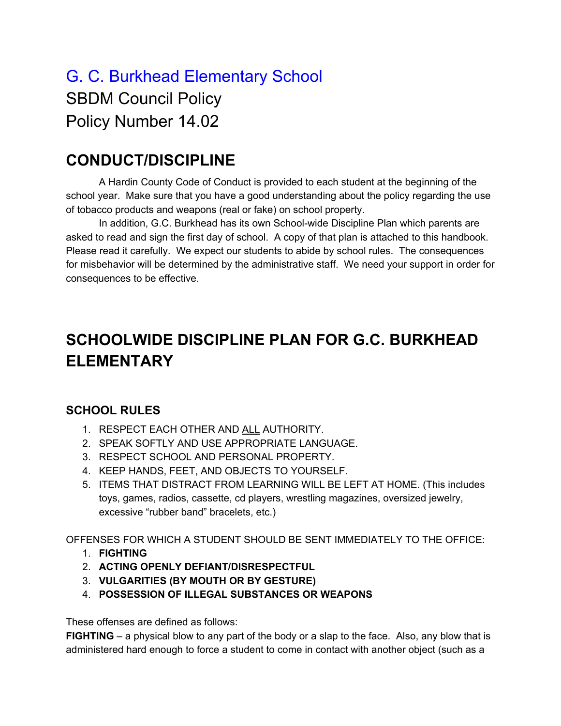# G. C. Burkhead Elementary School SBDM Council Policy Policy Number 14.02

### **CONDUCT/DISCIPLINE**

A Hardin County Code of Conduct is provided to each student at the beginning of the school year. Make sure that you have a good understanding about the policy regarding the use of tobacco products and weapons (real or fake) on school property.

In addition, G.C. Burkhead has its own School-wide Discipline Plan which parents are asked to read and sign the first day of school. A copy of that plan is attached to this handbook. Please read it carefully. We expect our students to abide by school rules. The consequences for misbehavior will be determined by the administrative staff. We need your support in order for consequences to be effective.

## **SCHOOLWIDE DISCIPLINE PLAN FOR G.C. BURKHEAD ELEMENTARY**

#### **SCHOOL RULES**

- 1. RESPECT EACH OTHER AND ALL AUTHORITY.
- 2. SPEAK SOFTLY AND USE APPROPRIATE LANGUAGE.
- 3. RESPECT SCHOOL AND PERSONAL PROPERTY.
- 4. KEEP HANDS, FEET, AND OBJECTS TO YOURSELF.
- 5. ITEMS THAT DISTRACT FROM LEARNING WILL BE LEFT AT HOME. (This includes toys, games, radios, cassette, cd players, wrestling magazines, oversized jewelry, excessive "rubber band" bracelets, etc.)

OFFENSES FOR WHICH A STUDENT SHOULD BE SENT IMMEDIATELY TO THE OFFICE:

- 1. **FIGHTING**
- 2. **ACTING OPENLY DEFIANT/DISRESPECTFUL**
- 3. **VULGARITIES (BY MOUTH OR BY GESTURE)**
- 4. **POSSESSION OF ILLEGAL SUBSTANCES OR WEAPONS**

These offenses are defined as follows:

**FIGHTING** – a physical blow to any part of the body or a slap to the face. Also, any blow that is administered hard enough to force a student to come in contact with another object (such as a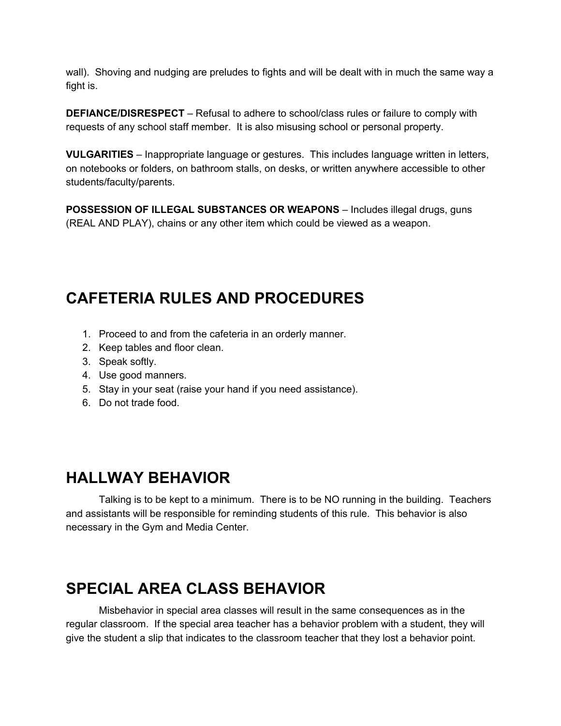wall). Shoving and nudging are preludes to fights and will be dealt with in much the same way a fight is.

**DEFIANCE/DISRESPECT** – Refusal to adhere to school/class rules or failure to comply with requests of any school staff member. It is also misusing school or personal property.

**VULGARITIES** – Inappropriate language or gestures. This includes language written in letters, on notebooks or folders, on bathroom stalls, on desks, or written anywhere accessible to other students/faculty/parents.

**POSSESSION OF ILLEGAL SUBSTANCES OR WEAPONS** – Includes illegal drugs, guns (REAL AND PLAY), chains or any other item which could be viewed as a weapon.

## **CAFETERIA RULES AND PROCEDURES**

- 1. Proceed to and from the cafeteria in an orderly manner.
- 2. Keep tables and floor clean.
- 3. Speak softly.
- 4. Use good manners.
- 5. Stay in your seat (raise your hand if you need assistance).
- 6. Do not trade food.

### **HALLWAY BEHAVIOR**

Talking is to be kept to a minimum. There is to be NO running in the building. Teachers and assistants will be responsible for reminding students of this rule. This behavior is also necessary in the Gym and Media Center.

## **SPECIAL AREA CLASS BEHAVIOR**

Misbehavior in special area classes will result in the same consequences as in the regular classroom. If the special area teacher has a behavior problem with a student, they will give the student a slip that indicates to the classroom teacher that they lost a behavior point.